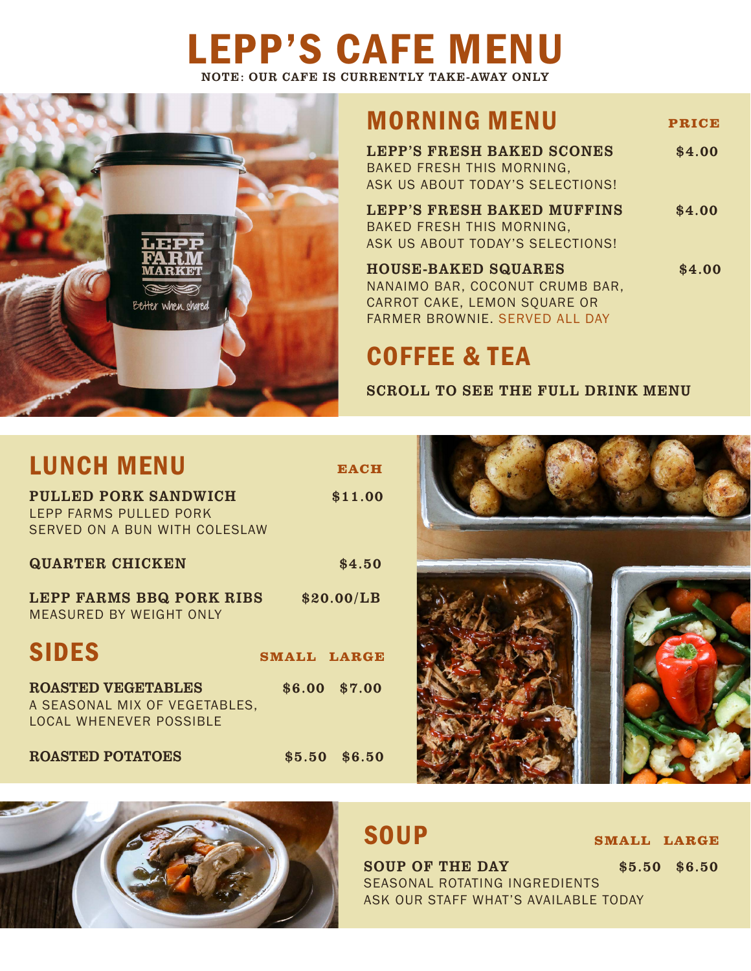## LEPP'S CAFE MENU NOTE: OUR CAFE IS CURRENTLY TAKE-AWAY ONLY



## MORNING MENU **PRICE**

| <b>LEPP'S FRESH BAKED SCONES</b><br>BAKED FRESH THIS MORNING, | \$4.00 |
|---------------------------------------------------------------|--------|
| ASK US ABOUT TODAY'S SELECTIONS!                              |        |
| <b>LEPP'S FRESH BAKED MUFFINS</b>                             | \$4.00 |
| BAKED FRESH THIS MORNING,                                     |        |
| ASK US ABOUT TODAY'S SELECTIONS!                              |        |
| <b>HOUSE-BAKED SQUARES</b>                                    | \$4.00 |
| NANAIMO BAR, COCONUT CRUMB BAR,                               |        |
| CARROT CAKE, LEMON SQUARE OR                                  |        |

## COFFEE & TEA

FARMER BROWNIE. SERVED ALL DAY

SCROLL TO SEE THE FULL DRINK MENU

| <b>LUNCH MENU</b>                                                                            | <b>EACH</b>        |
|----------------------------------------------------------------------------------------------|--------------------|
| <b>PULLED PORK SANDWICH</b><br>LEPP FARMS PULLED PORK<br>SERVED ON A BUN WITH COLESLAW       | \$11.00            |
| <b>QUARTER CHICKEN</b>                                                                       | \$4.50             |
| LEPP FARMS BBQ PORK RIBS<br>MEASURED BY WEIGHT ONLY                                          | \$20.00/LB         |
| <b>SIDES</b>                                                                                 | <b>SMALL LARGE</b> |
| <b>ROASTED VEGETABLES</b><br>A SEASONAL MIX OF VEGETABLES,<br><b>LOCAL WHENEVER POSSIBLE</b> | \$6.00 \$7.00      |
| <b>ROASTED POTATOES</b>                                                                      | \$5.50 \$6.50      |





## **SOUP**

**SMALL LARGE**

SOUP OF THE DAY \$5.50 \$6.50 SEASONAL ROTATING INGREDIENTS ASK OUR STAFF WHAT'S AVAILABLE TODAY